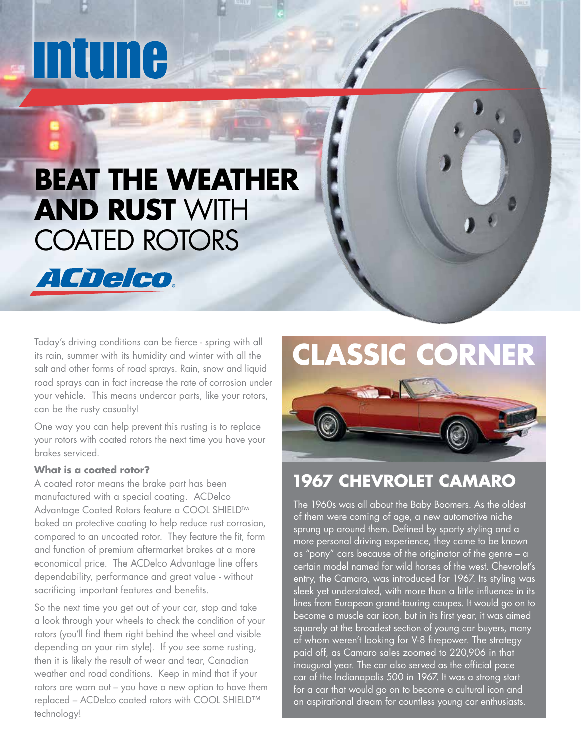# INUMA

ACDelco.

# **BEAT THE WEATHER AND RUST** WITH COATED ROTORS

Today's driving conditions can be fierce - spring with all its rain, summer with its humidity and winter with all the salt and other forms of road sprays. Rain, snow and liquid road sprays can in fact increase the rate of corrosion under your vehicle. This means undercar parts, like your rotors, can be the rusty casualty!

One way you can help prevent this rusting is to replace your rotors with coated rotors the next time you have your brakes serviced.

#### **What is a coated rotor?**

A coated rotor means the brake part has been manufactured with a special coating. ACDelco Advantage Coated Rotors feature a COOL SHIELD™ baked on protective coating to help reduce rust corrosion, compared to an uncoated rotor. They feature the fit, form and function of premium aftermarket brakes at a more economical price. The ACDelco Advantage line offers dependability, performance and great value - without sacrificing important features and benefits.

So the next time you get out of your car, stop and take a look through your wheels to check the condition of your rotors (you'll find them right behind the wheel and visible depending on your rim style). If you see some rusting, then it is likely the result of wear and tear, Canadian weather and road conditions. Keep in mind that if your rotors are worn out – you have a new option to have them replaced – ACDelco coated rotors with COOL SHIELD™ technology!

# **CLASSIC CORNER**



## **1967 CHEVROLET CAMARO**

The 1960s was all about the Baby Boomers. As the oldest of them were coming of age, a new automotive niche sprung up around them. Defined by sporty styling and a more personal driving experience, they came to be known as "pony" cars because of the originator of the genre – a certain model named for wild horses of the west. Chevrolet's entry, the Camaro, was introduced for 1967. Its styling was sleek yet understated, with more than a little influence in its lines from European grand-touring coupes. It would go on to become a muscle car icon, but in its first year, it was aimed squarely at the broadest section of young car buyers, many of whom weren't looking for V-8 firepower. The strategy paid off, as Camaro sales zoomed to 220,906 in that inaugural year. The car also served as the official pace car of the Indianapolis 500 in 1967. It was a strong start for a car that would go on to become a cultural icon and an aspirational dream for countless young car enthusiasts.